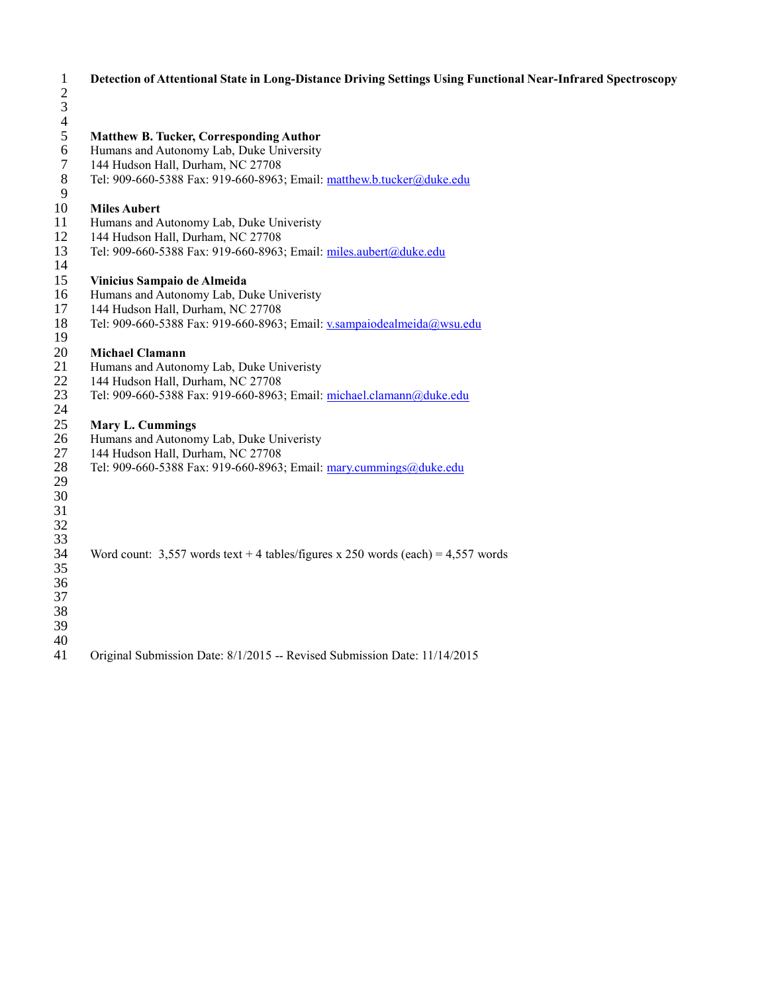| $\mathbf{1}$<br>$\mathbf{2}$<br>$\mathfrak 3$<br>$\overline{4}$ | Detection of Attentional State in Long-Distance Driving Settings Using Functional Near-Infrared Spectroscopy |
|-----------------------------------------------------------------|--------------------------------------------------------------------------------------------------------------|
| $\mathfrak s$                                                   | <b>Matthew B. Tucker, Corresponding Author</b>                                                               |
| 6                                                               | Humans and Autonomy Lab, Duke University                                                                     |
| $\tau$                                                          | 144 Hudson Hall, Durham, NC 27708                                                                            |
| $\,8\,$                                                         | Tel: 909-660-5388 Fax: 919-660-8963; Email: matthew.b.tucker@duke.edu                                        |
| 9                                                               |                                                                                                              |
| 10                                                              | <b>Miles Aubert</b>                                                                                          |
| 11                                                              | Humans and Autonomy Lab, Duke Univeristy                                                                     |
| 12                                                              | 144 Hudson Hall, Durham, NC 27708                                                                            |
| 13                                                              | Tel: 909-660-5388 Fax: 919-660-8963; Email: miles.aubert@duke.edu                                            |
| 14                                                              |                                                                                                              |
| 15                                                              | Vinicius Sampaio de Almeida                                                                                  |
| 16                                                              | Humans and Autonomy Lab, Duke Univeristy                                                                     |
| 17                                                              | 144 Hudson Hall, Durham, NC 27708                                                                            |
| 18                                                              | Tel: 909-660-5388 Fax: 919-660-8963; Email: v.sampaiodealmeida@wsu.edu                                       |
| 19                                                              |                                                                                                              |
| 20                                                              | <b>Michael Clamann</b>                                                                                       |
| 21                                                              | Humans and Autonomy Lab, Duke Univeristy                                                                     |
| 22                                                              | 144 Hudson Hall, Durham, NC 27708                                                                            |
| 23                                                              | Tel: 909-660-5388 Fax: 919-660-8963; Email: michael.clamann@duke.edu                                         |
| 24                                                              |                                                                                                              |
| 25<br>26                                                        | <b>Mary L. Cummings</b><br>Humans and Autonomy Lab, Duke Univeristy                                          |
| 27                                                              | 144 Hudson Hall, Durham, NC 27708                                                                            |
| 28                                                              | Tel: 909-660-5388 Fax: 919-660-8963; Email: mary.cummings@duke.edu                                           |
| 29                                                              |                                                                                                              |
| 30                                                              |                                                                                                              |
| 31                                                              |                                                                                                              |
| 32                                                              |                                                                                                              |
| 33                                                              |                                                                                                              |
| 34                                                              | Word count: $3,557$ words text + 4 tables/figures x 250 words (each) = 4,557 words                           |
| 35                                                              |                                                                                                              |
| 36                                                              |                                                                                                              |
| 37                                                              |                                                                                                              |
| 38                                                              |                                                                                                              |
| 39                                                              |                                                                                                              |
| 40                                                              |                                                                                                              |
| 41                                                              | Original Submission Date: 8/1/2015 -- Revised Submission Date: 11/14/2015                                    |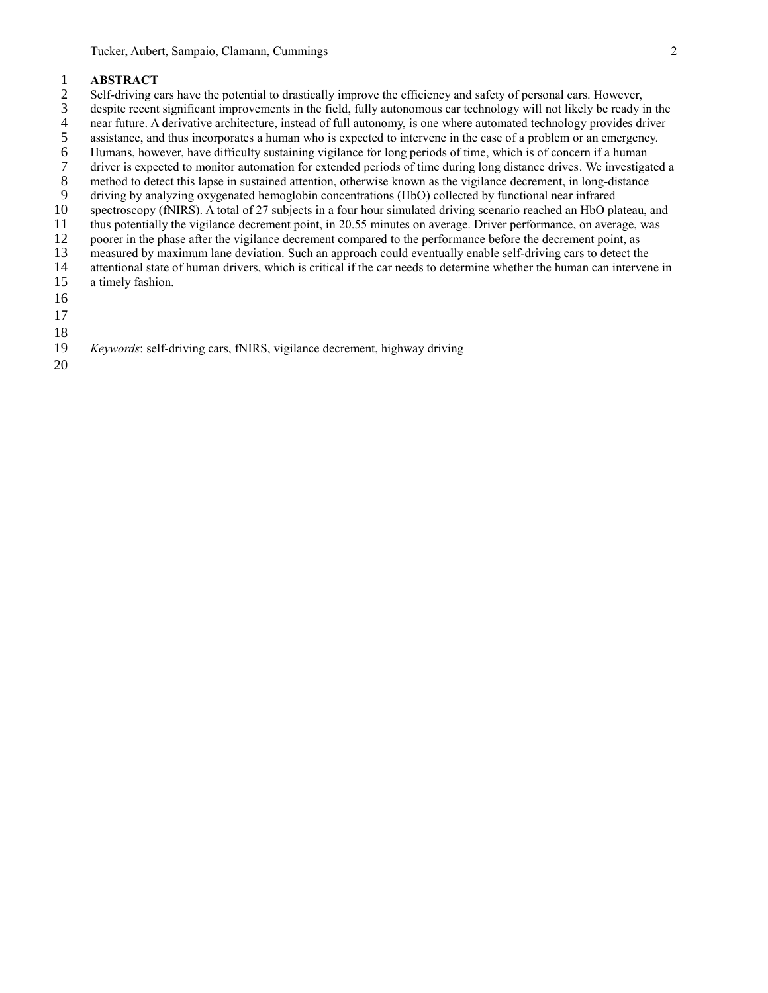- 2 Self-driving cars have the potential to drastically improve the efficiency and safety of personal cars. However,
- 1 **ABSTRACT**<br>2 Self-driving c<br>3 despite recent 3 despite recent significant improvements in the field, fully autonomous car technology will not likely be ready in the near future. A derivative architecture, instead of full autonomy, is one where automated technology pr
- 4 near future. A derivative architecture, instead of full autonomy, is one where automated technology provides driver assistance, and thus incorporates a human who is expected to intervene in the case of a problem or an em
- 5 assistance, and thus incorporates a human who is expected to intervene in the case of a problem or an emergency.<br>6 Humans, however, have difficulty sustaining vigilance for long periods of time, which is of concern if a
- 6 Humans, however, have difficulty sustaining vigilance for long periods of time, which is of concern if a human driver is expected to monitor automation for extended periods of time during long distance drives. We investi
- 7 driver is expected to monitor automation for extended periods of time during long distance drives. We investigated a method to detect this lapse in sustained attention, otherwise known as the vigilance decrement, in long
- 8 method to detect this lapse in sustained attention, otherwise known as the vigilance decrement, in long-distance<br>9 driving by analyzing oxygenated hemoglobin concentrations (HbO) collected by functional near infrared
- 9 driving by analyzing oxygenated hemoglobin concentrations (HbO) collected by functional near infrared spectroscopy (fNIRS). A total of 27 subjects in a four hour simulated driving scenario reached an HbO pla spectroscopy (fNIRS). A total of 27 subjects in a four hour simulated driving scenario reached an HbO plateau, and
- 11 thus potentially the vigilance decrement point, in 20.55 minutes on average. Driver performance, on average, was
- 12 poorer in the phase after the vigilance decrement compared to the performance before the decrement point, as
- 13 measured by maximum lane deviation. Such an approach could eventually enable self-driving cars to detect the
- 14 attentional state of human drivers, which is critical if the car needs to determine whether the human can intervene in a timely fashion.
- a timely fashion.
- 16
- 17
- 
- 18
- 19 *Keywords*: self-driving cars, fNIRS, vigilance decrement, highway driving
- 20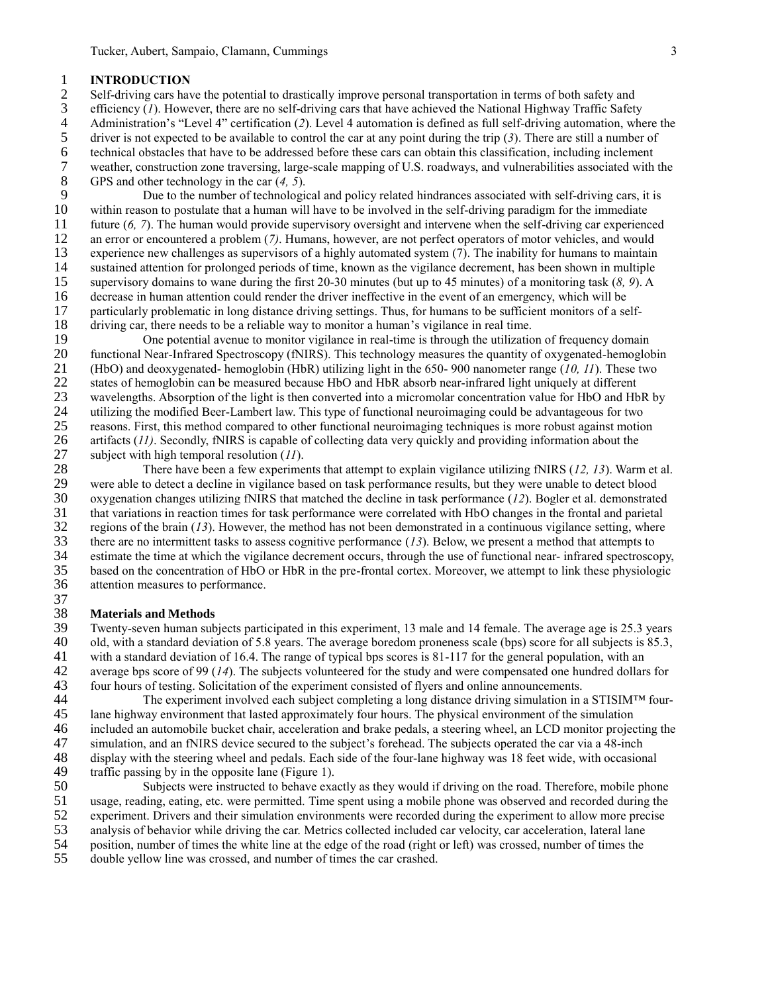1 **INTRODUCTION**<br>2 **Self-driving cars have** 2 Self-driving cars have the potential to drastically improve personal transportation in terms of both safety and efficiency (1). However, there are no self-driving cars that have achieved the National Highway Traffic Safe 3 efficiency (*1*). However, there are no self-driving cars that have achieved the National Highway Traffic Safety<br>4 Administration's "Level 4" certification (2). Level 4 automation is defined as full self-driving automati 4 Administration's "Level 4" certification (2). Level 4 automation is defined as full self-driving automation, where the driver is not expected to be available to control the car at any point during the trip (3). There are 5 driver is not expected to be available to control the car at any point during the trip (3). There are still a number of technical obstacles that have to be addressed before these cars can obtain this classification, incl 6 technical obstacles that have to be addressed before these cars can obtain this classification, including inclement<br>7 weather, construction zone traversing, large-scale mapping of U.S. roadways, and vulnerabilities assoc 7 weather, construction zone traversing, large-scale mapping of U.S. roadways, and vulnerabilities associated with the GPS and other technology in the car  $(4, 5)$ . 8 GPS and other technology in the car (*4, 5*).

9 Due to the number of technological and policy related hindrances associated with self-driving cars, it is 10 within reason to postulate that a human will have to be involved in the self-driving paradigm for the immediate within reason to postulate that a human will have to be involved in the self-driving paradigm for the immediate 11 future (*6, 7*). The human would provide supervisory oversight and intervene when the self-driving car experienced 12 an error or encountered a problem (*7)*. Humans, however, are not perfect operators of motor vehicles, and would 13 experience new challenges as supervisors of a highly automated system (7). The inability for humans to maintain 14 sustained attention for prolonged periods of time, known as the vigilance decrement, has been shown in multiple<br>15 supervisory domains to wane during the first 20-30 minutes (but up to 45 minutes) of a monitoring task ( 15 supervisory domains to wane during the first 20-30 minutes (but up to 45 minutes) of a monitoring task (*8, 9*). A 16 decrease in human attention could render the driver ineffective in the event of an emergency, which will be particularly problematic in long distance driving settings. Thus, for humans to be sufficient monitors of a se 17 particularly problematic in long distance driving settings. Thus, for humans to be sufficient monitors of a self-18 driving car, there needs to be a reliable way to monitor a human's vigilance in real time.<br>19 One potential avenue to monitor vigilance in real-time is through the utilization

19 One potential avenue to monitor vigilance in real-time is through the utilization of frequency domain 20 functional Near-Infrared Spectroscopy (fNIRS). This technology measures the quantity of oxygenated-hemoglob 20 functional Near-Infrared Spectroscopy (fNIRS). This technology measures the quantity of oxygenated-hemoglobin 21 (HbO) and deoxygenated- hemoglobin (HbR) utilizing light in the 650- 900 nanometer range (*10, 11*). These two states of hemoglobin can be measured because HbO and HbR absorb near-infrared light uniquely at different 22 states of hemoglobin can be measured because HbO and HbR absorb near-infrared light uniquely at different 23 wavelengths. Absorption of the light is then converted into a micromolar concentration value for HbO and Hb wavelengths. Absorption of the light is then converted into a micromolar concentration value for HbO and HbR by 24 utilizing the modified Beer-Lambert law. This type of functional neuroimaging could be advantageous for two 25 reasons. First, this method compared to other functional neuroimaging techniques is more robust against motion 26 artifacts (*11*). Secondly, fNIRS is capable of collecting data very quickly and providing information about the subject with high temporal resolution (*11*). 27 subject with high temporal resolution (*11*).<br>28 There have been a few experime

28 There have been a few experiments that attempt to explain vigilance utilizing fNIRS (*12, 13*). Warm et al.<br>29 were able to detect a decline in vigilance based on task performance results, but they were unable to detect 29 were able to detect a decline in vigilance based on task performance results, but they were unable to detect blood<br>30 oxygenation changes utilizing fNIRS that matched the decline in task performance (12). Bogler et al. oxygenation changes utilizing fNIRS that matched the decline in task performance (*12*). Bogler et al. demonstrated that variations in reaction times for task performance were correlated with HbO changes in the frontal and parietal 32 regions of the brain  $(13)$ . However, the method has not been demonstrated in a continuous vigilance setting, where there are no intermittent tasks to assess cognitive performance  $(13)$ . Below, we present a method tha there are no intermittent tasks to assess cognitive performance (*13*). Below, we present a method that attempts to estimate the time at which the vigilance decrement occurs, through the use of functional near- infrared spectroscopy, based on the concentration of HbO or HbR in the pre-frontal cortex. Moreover, we attempt to link these physiologic attention measures to performance.

## 37<br>38 38 **Materials and Methods**

39 Twenty-seven human subjects participated in this experiment, 13 male and 14 female. The average age is 25.3 years 40 old, with a standard deviation of 5.8 years. The average boredom proneness scale (bps) score for all s 40 old, with a standard deviation of 5.8 years. The average boredom proneness scale (bps) score for all subjects is 85.3, 41 with a standard deviation of 16.4. The range of typical bps scores is  $81-117$  for the general population, with an  $42$  average bps score of 99 (14). The subjects volunteered for the study and were compensated one hund 42 average bps score of 99 (*14*). The subjects volunteered for the study and were compensated one hundred dollars for 43 four hours of testing. Solicitation of the experiment consisted of flyers and online announcements.

44 The experiment involved each subject completing a long distance driving simulation in a STISIM<sup>TM</sup> four-<br>45 Iane highway environment that lasted approximately four hours. The physical environment of the simulation lane highway environment that lasted approximately four hours. The physical environment of the simulation 46 included an automobile bucket chair, acceleration and brake pedals, a steering wheel, an LCD monitor projecting the 47 simulation, and an fNIRS device secured to the subject's forehead. The subjects operated the car via a 48-inch<br>48 display with the steering wheel and pedals. Each side of the four-lane highway was 18 feet wide, with occ

48 display with the steering wheel and pedals. Each side of the four-lane highway was 18 feet wide, with occasional traffic passing by in the opposite lane (Figure 1). 49 traffic passing by in the opposite lane (Figure 1).<br>50 Subjects were instructed to behave example

50 Subjects were instructed to behave exactly as they would if driving on the road. Therefore, mobile phone usage, reading, eating, etc. were permitted. Time spent using a mobile phone was observed and recorded during the

- usage, reading, eating, etc. were permitted. Time spent using a mobile phone was observed and recorded during the
- 52 experiment. Drivers and their simulation environments were recorded during the experiment to allow more precise 53 analysis of behavior while driving the car. Metrics collected included car velocity, car acceleration, lateral lane
- 54 position, number of times the white line at the edge of the road (right or left) was crossed, number of times the
- 55 double yellow line was crossed, and number of times the car crashed.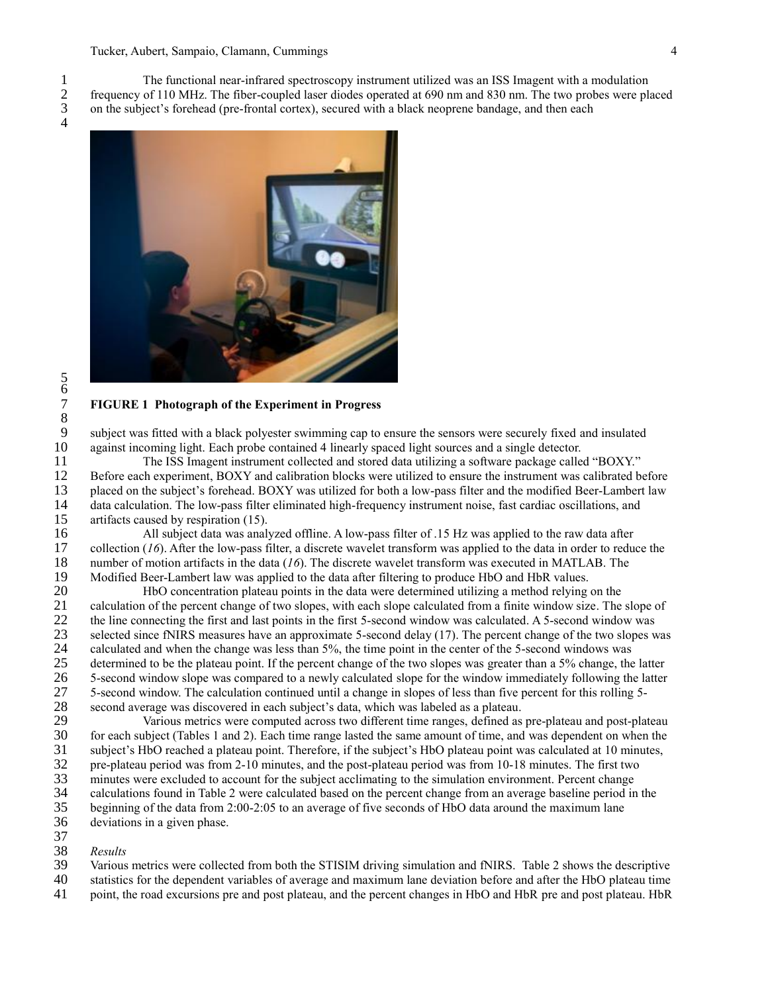1 The functional near-infrared spectroscopy instrument utilized was an ISS Imagent with a modulation<br>2 frequency of 110 MHz. The fiber-coupled laser diodes operated at 690 nm and 830 nm. The two probes were pla<br>3 on the su 2 frequency of 110 MHz. The fiber-coupled laser diodes operated at 690 nm and 830 nm. The two probes were placed 3 on the subject's forehead (pre-frontal cortex), secured with a black neoprene bandage, and then each



## 7 **FIGURE 1 Photograph of the Experiment in Progress**

subject was fitted with a black polyester swimming cap to ensure the sensors were securely fixed and insulated 10 against incoming light. Each probe contained 4 linearly spaced light sources and a single detector.<br>11 The ISS Imagent instrument collected and stored data utilizing a software package calle

11 The ISS Imagent instrument collected and stored data utilizing a software package called "BOXY."<br>12 Before each experiment, BOXY and calibration blocks were utilized to ensure the instrument was calibrated b 12 Before each experiment, BOXY and calibration blocks were utilized to ensure the instrument was calibrated before 13 placed on the subject's forehead. BOXY was utilized for both a low-pass filter and the modified Beer-Lambert law<br>14 data calculation. The low-pass filter eliminated high-frequency instrument noise, fast cardiac oscillat 14 data calculation. The low-pass filter eliminated high-frequency instrument noise, fast cardiac oscillations, and 15 artifacts caused by respiration (15).

16 All subject data was analyzed offline. A low-pass filter of .15 Hz was applied to the raw data after 17 collection (16). After the low-pass filter, a discrete wavelet transform was applied to the data in order to reduce collection  $(16)$ . After the low-pass filter, a discrete wavelet transform was applied to the data in order to reduce the 18 number of motion artifacts in the data (*16*). The discrete wavelet transform was executed in MATLAB. The 19 Modified Beer-Lambert law was applied to the data after filtering to produce HbO and HbR values.<br>20 HbO concentration plateau points in the data were determined utilizing a method relying

20 HbO concentration plateau points in the data were determined utilizing a method relying on the 21 calculation of the percent change of two slopes, with each slope calculated from a finite window size. The slope of the line connecting the first and last points in the first 5-second window was calculated. A 5-second w 22 the line connecting the first and last points in the first 5-second window was calculated. A 5-second window was selected since fNIRS measures have an approximate 5-second delay (17). The percent change of the two slope 23 selected since fNIRS measures have an approximate 5-second delay (17). The percent change of the two slopes was calculated and when the change was less than 5%, the time point in the center of the 5-second windows was 24 calculated and when the change was less than 5%, the time point in the center of the 5-second windows was<br>25 determined to be the plateau point. If the percent change of the two slopes was greater than a 5% change, the 25 determined to be the plateau point. If the percent change of the two slopes was greater than a 5% change, the latter 5-second window slope was compared to a newly calculated slope for the window immediately following th 26 5-second window slope was compared to a newly calculated slope for the window immediately following the latter 27 5-second window. The calculation continued until a change in slopes of less than five percent for this rolling 5-<br>28 second average was discovered in each subject's data, which was labeled as a plateau. 28 second average was discovered in each subject's data, which was labeled as a plateau.<br>29 Various metrics were computed across two different time ranges, defined as

29 Various metrics were computed across two different time ranges, defined as pre-plateau and post-plateau 30 for each subject (Tables 1 and 2). Each time range lasted the same amount of time, and was dependent on when the for each subject (Tables 1 and 2). Each time range lasted the same amount of time, and was dependent on when the 31 subject's HbO reached a plateau point. Therefore, if the subject's HbO plateau point was calculated at 10 minutes, pre-plateau period was from 2-10 minutes, and the post-plateau period was from 10-18 minutes. The first 32 pre-plateau period was from 2-10 minutes, and the post-plateau period was from 10-18 minutes. The first two<br>33 minutes were excluded to account for the subject acclimating to the simulation environment. Percent change 33 minutes were excluded to account for the subject acclimating to the simulation environment. Percent change<br>34 calculations found in Table 2 were calculated based on the percent change from an average baseline period in 34 calculations found in Table 2 were calculated based on the percent change from an average baseline period in the<br>35 beginning of the data from 2:00-2:05 to an average of five seconds of HbO data around the maximum lane beginning of the data from 2:00-2:05 to an average of five seconds of HbO data around the maximum lane 36 deviations in a given phase.

- 37
- 38 *Results* Various metrics were collected from both the STISIM driving simulation and fNIRS. Table 2 shows the descriptive 40 statistics for the dependent variables of average and maximum lane deviation before and after the HbO plateau time
- 
- 41 point, the road excursions pre and post plateau, and the percent changes in HbO and HbR pre and post plateau. HbR

 $\begin{array}{c} 8 \\ 9 \end{array}$ 

5 6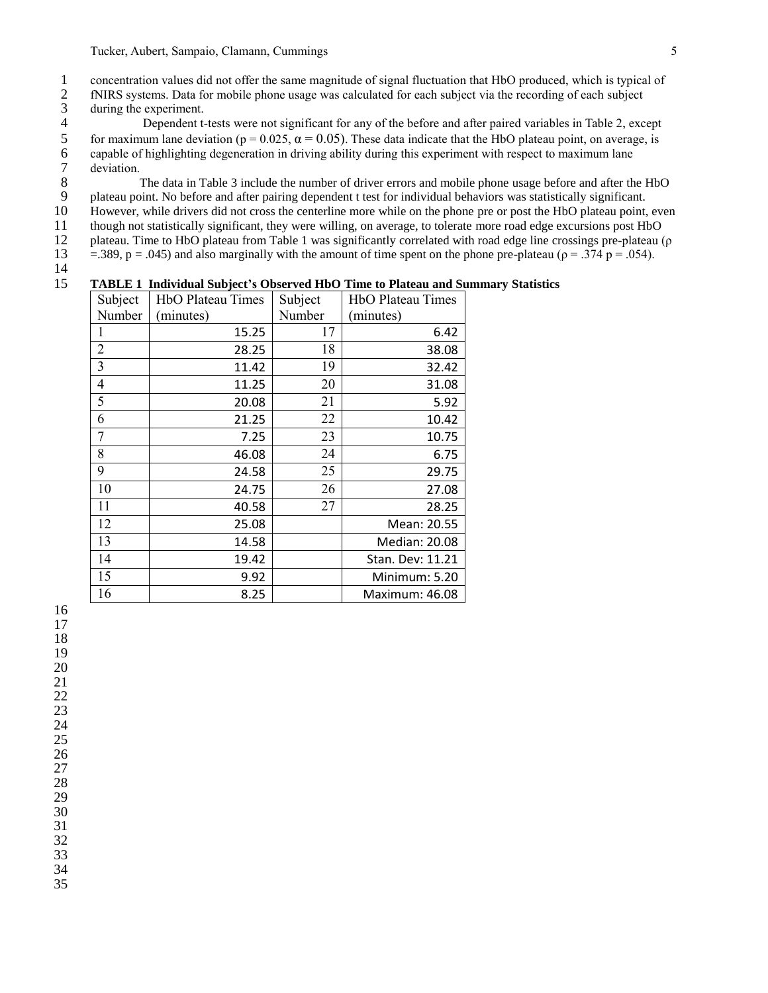1 concentration values did not offer the same magnitude of signal fluctuation that HbO produced, which is typical of<br>12 fNIRS systems. Data for mobile phone usage was calculated for each subject via the recording of each s fNIRS systems. Data for mobile phone usage was calculated for each subject via the recording of each subject

3 during the experiment.<br>4 Dependent t-4 Dependent t-tests were not significant for any of the before and after paired variables in Table 2, except<br>5 for maximum lane deviation ( $p = 0.025$ ,  $\alpha = 0.05$ ). These data indicate that the HbO plateau point, on averag for maximum lane deviation ( $p = 0.025$ ,  $\alpha = 0.05$ ). These data indicate that the HbO plateau point, on average, is capable of highlighting degeneration in driving ability during this experiment with respect to maximum lane 7 deviation.<br>8

8 The data in Table 3 include the number of driver errors and mobile phone usage before and after the HbO<br>9 plateau point. No before and after pairing dependent t test for individual behaviors was statistically significant 9 plateau point. No before and after pairing dependent t test for individual behaviors was statistically significant.<br>10 However, while drivers did not cross the centerline more while on the phone pre or post the HbO plate

However, while drivers did not cross the centerline more while on the phone pre or post the HbO plateau point, even

though not statistically significant, they were willing, on average, to tolerate more road edge excursions post HbO

12 plateau. Time to HbO plateau from Table 1 was significantly correlated with road edge line crossings pre-plateau ( $\rho$ )

13 = .389, p = .045) and also marginally with the amount of time spent on the phone pre-plateau ( $\rho = .374$  p = .054).

 $\frac{14}{15}$ 

## **TABLE 1 Individual Subject's Observed HbO Time to Plateau and Summary Statistics**

| Subject        | HbO Plateau Times | Subject | <b>HbO</b> Plateau Times |
|----------------|-------------------|---------|--------------------------|
| Number         | (minutes)         | Number  | (minutes)                |
|                | 15.25             | 17      | 6.42                     |
| $\overline{2}$ | 28.25             | 18      | 38.08                    |
| 3              | 11.42             | 19      | 32.42                    |
| 4              | 11.25             | 20      | 31.08                    |
| 5              | 20.08             | 21      | 5.92                     |
| 6              | 21.25             | 22      | 10.42                    |
| 7              | 7.25              | 23      | 10.75                    |
| 8              | 46.08             | 24      | 6.75                     |
| 9              | 24.58             | 25      | 29.75                    |
| 10             | 24.75             | 26      | 27.08                    |
| 11             | 40.58             | 27      | 28.25                    |
| 12             | 25.08             |         | Mean: 20.55              |
| 13             | 14.58             |         | <b>Median: 20.08</b>     |
| 14             | 19.42             |         | Stan. Dev: 11.21         |
| 15             | 9.92              |         | Minimum: 5.20            |
| 16             | 8.25              |         | Maximum: 46.08           |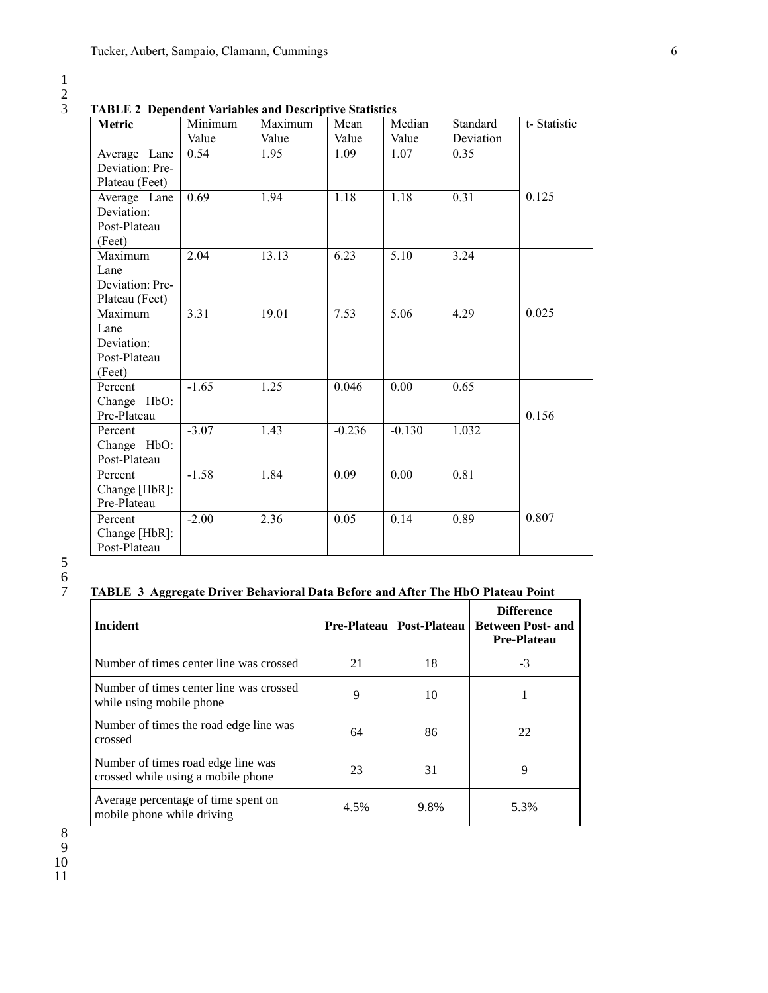1 2

3 **TABLE 2 Dependent Variables and Descriptive Statistics** 

| Metric                                                  | Minimum | Maximum | Mean     | Median   | Standard  | t-Statistic |
|---------------------------------------------------------|---------|---------|----------|----------|-----------|-------------|
|                                                         | Value   | Value   | Value    | Value    | Deviation |             |
| Average Lane<br>Deviation: Pre-<br>Plateau (Feet)       | 0.54    | 1.95    | 1.09     | 1.07     | 0.35      |             |
| Average Lane<br>Deviation:<br>Post-Plateau<br>(Feet)    | 0.69    | 1.94    | 1.18     | 1.18     | 0.31      | 0.125       |
| Maximum<br>Lane<br>Deviation: Pre-<br>Plateau (Feet)    | 2.04    | 13.13   | 6.23     | 5.10     | 3.24      |             |
| Maximum<br>Lane<br>Deviation:<br>Post-Plateau<br>(Feet) | 3.31    | 19.01   | 7.53     | 5.06     | 4.29      | 0.025       |
| Percent<br>Change HbO:<br>Pre-Plateau                   | $-1.65$ | 1.25    | 0.046    | 0.00     | 0.65      | 0.156       |
| Percent<br>Change HbO:<br>Post-Plateau                  | $-3.07$ | 1.43    | $-0.236$ | $-0.130$ | 1.032     |             |
| Percent<br>Change [HbR]:<br>Pre-Plateau                 | $-1.58$ | 1.84    | 0.09     | 0.00     | 0.81      |             |
| Percent<br>Change [HbR]:<br>Post-Plateau                | $-2.00$ | 2.36    | 0.05     | 0.14     | 0.89      | 0.807       |

5 6

# 7 **TABLE 3 Aggregate Driver Behavioral Data Before and After The HbO Plateau Point**

| <b>Incident</b>                                                          |      | <b>Pre-Plateau   Post-Plateau  </b> | <b>Difference</b><br><b>Between Post- and</b><br><b>Pre-Plateau</b> |
|--------------------------------------------------------------------------|------|-------------------------------------|---------------------------------------------------------------------|
| Number of times center line was crossed                                  | 21   | 18                                  | $-3$                                                                |
| Number of times center line was crossed<br>while using mobile phone      | 9    | 10                                  |                                                                     |
| Number of times the road edge line was<br>crossed                        | 64   | 86                                  | 22                                                                  |
| Number of times road edge line was<br>crossed while using a mobile phone | 23   | 31                                  | 9                                                                   |
| Average percentage of time spent on<br>mobile phone while driving        | 4.5% | 9.8%                                | 5.3%                                                                |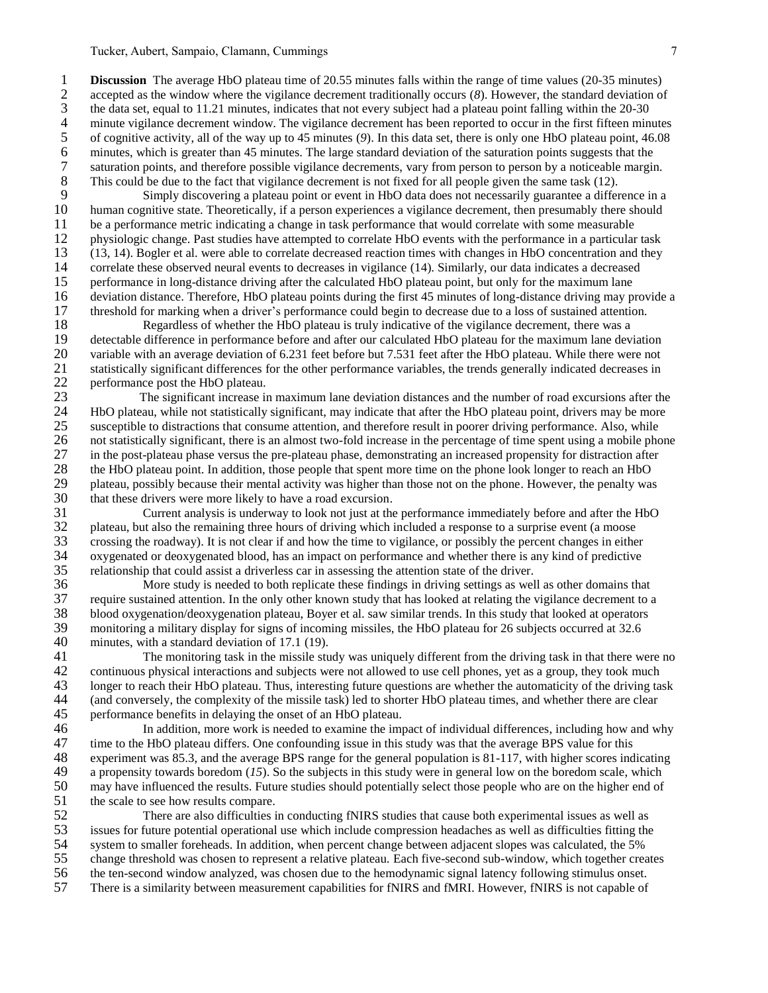1 **Discussion** The average HbO plateau time of 20.55 minutes falls within the range of time values (20-35 minutes) accepted as the window where the vigilance decrement traditionally occurs (8). However, the standard deviat 2 accepted as the window where the vigilance decrement traditionally occurs (*8*). However, the standard deviation of 3 the data set, equal to 11.21 minutes, indicates that not every subject had a plateau point falling within the 20-30 minute vigilance decrement window. The vigilance decrement has been reported to occur in the first fifte 4 minute vigilance decrement window. The vigilance decrement has been reported to occur in the first fifteen minutes<br>5 of cognitive activity, all of the way up to 45 minutes (9). In this data set, there is only one HbO pla 5 of cognitive activity, all of the way up to 45 minutes (9). In this data set, there is only one HbO plateau point, 46.08 minutes, which is greater than 45 minutes. The large standard deviation of the saturation points su 6 minutes, which is greater than 45 minutes. The large standard deviation of the saturation points suggests that the saturation points, and therefore possible vigilance decrements, vary from person to person by a noticeabl 7 saturation points, and therefore possible vigilance decrements, vary from person to person by a noticeable margin.<br>8 This could be due to the fact that vigilance decrement is not fixed for all people given the same task 8 This could be due to the fact that vigilance decrement is not fixed for all people given the same task (12).<br>9 Simply discovering a plateau point or event in HbO data does not necessarily guarantee a different

9 Simply discovering a plateau point or event in HbO data does not necessarily guarantee a difference in a 10 human cognitive state. Theoretically, if a person experiences a vigilance decrement, then presumably there shoul human cognitive state. Theoretically, if a person experiences a vigilance decrement, then presumably there should 11 be a performance metric indicating a change in task performance that would correlate with some measurable 12 physiologic change. Past studies have attempted to correlate HbO events with the performance in a particular task 13 (13, 14). Bogler et al. were able to correlate decreased reaction times with changes in HbO concentration and they 14 correlate these observed neural events to decreases in vigilance (14). Similarly, our data indicates a decreased<br>15 performance in long-distance driving after the calculated HbO plateau point, but only for the maximum l 15 performance in long-distance driving after the calculated HbO plateau point, but only for the maximum lane 16 deviation distance. Therefore, HbO plateau points during the first 45 minutes of long-distance driving may provide a threshold for marking when a driver's performance could begin to decrease due to a loss of sustained a 17 threshold for marking when a driver's performance could begin to decrease due to a loss of sustained attention.

18 Regardless of whether the HbO plateau is truly indicative of the vigilance decrement, there was a<br>19 detectable difference in performance before and after our calculated HbO plateau for the maximum lane devi 19 detectable difference in performance before and after our calculated HbO plateau for the maximum lane deviation 20 variable with an average deviation of 6.231 feet before but 7.531 feet after the HbO plateau. While there were not 21 statistically significant differences for the other performance variables, the trends generally indicated decreases in performance post the HbO plateau. 22 performance post the HbO plateau.<br>23 The significant increase in

23 The significant increase in maximum lane deviation distances and the number of road excursions after the 24 HbO plateau, while not statistically significant, may indicate that after the HbO plateau point, drivers may be more 25 susceptible to distractions that consume attention, and therefore result in poorer driving performance. Also, while 26 not statistically significant, there is an almost two-fold increase in the percentage of time spent using a mobile phone<br>27 in the post-plateau phase versus the pre-plateau phase, demonstrating an increased propensity f 27 in the post-plateau phase versus the pre-plateau phase, demonstrating an increased propensity for distraction after<br>28 the HbO plateau point. In addition, those people that spent more time on the phone look longer to re 28 the HbO plateau point. In addition, those people that spent more time on the phone look longer to reach an HbO<br>29 plateau, possibly because their mental activity was higher than those not on the phone. However, the pena 29 plateau, possibly because their mental activity was higher than those not on the phone. However, the penalty was that these drivers were more likely to have a road excursion. 30 that these drivers were more likely to have a road excursion.<br>31 Current analysis is underway to look not just at the

 Current analysis is underway to look not just at the performance immediately before and after the HbO plateau, but also the remaining three hours of driving which included a response to a surprise event (a moose crossing the roadway). It is not clear if and how the time to vigilance, or possibly the percent changes in either oxygenated or deoxygenated blood, has an impact on performance and whether there is any kind of predictive 35 relationship that could assist a driverless car in assessing the attention state of the driver.<br>36 More study is needed to both replicate these findings in driving settings as well

More study is needed to both replicate these findings in driving settings as well as other domains that 37 require sustained attention. In the only other known study that has looked at relating the vigilance decrement to a 38 blood oxygenation/deoxygenation plateau, Boyer et al. saw similar trends. In this study that looked at operators<br>39 monitoring a military display for signs of incoming missiles, the HbO plateau for 26 subjects occurred 39 monitoring a military display for signs of incoming missiles, the HbO plateau for 26 subjects occurred at 32.6 minutes, with a standard deviation of 17.1 (19). minutes, with a standard deviation of 17.1 (19).

41 The monitoring task in the missile study was uniquely different from the driving task in that there were no<br>42 continuous physical interactions and subjects were not allowed to use cell phones, yet as a group, they took continuous physical interactions and subjects were not allowed to use cell phones, yet as a group, they took much longer to reach their HbO plateau. Thus, interesting future questions are whether the automaticity of the driving task (and conversely, the complexity of the missile task) led to shorter HbO plateau times, and whether there are clear performance benefits in delaying the onset of an HbO plateau.

46 In addition, more work is needed to examine the impact of individual differences, including how and why 47 time to the HbO plateau differs. One confounding issue in this study was that the average BPS value for this<br>48 experiment was 85.3, and the average BPS range for the general population is 81-117, with higher scores ind 48 experiment was 85.3, and the average BPS range for the general population is 81-117, with higher scores indicating a propensity towards boredom  $(15)$ . So the subjects in this study were in general low on the boredom s 49 a propensity towards boredom (*15*). So the subjects in this study were in general low on the boredom scale, which<br>50 may have influenced the results. Future studies should potentially select those people who are on the 50 may have influenced the results. Future studies should potentially select those people who are on the higher end of the scale to see how results compare. 51 the scale to see how results compare.<br>52 There are also difficulties i

There are also difficulties in conducting fNIRS studies that cause both experimental issues as well as issues for future potential operational use which include compression headaches as well as difficulties fitting the system to smaller foreheads. In addition, when percent change between adjacent slopes was calculated, the 5% change threshold was chosen to represent a relative plateau. Each five-second sub-window, which together creates the ten-second window analyzed, was chosen due to the hemodynamic signal latency following stimulus onset. There is a similarity between measurement capabilities for fNIRS and fMRI. However, fNIRS is not capable of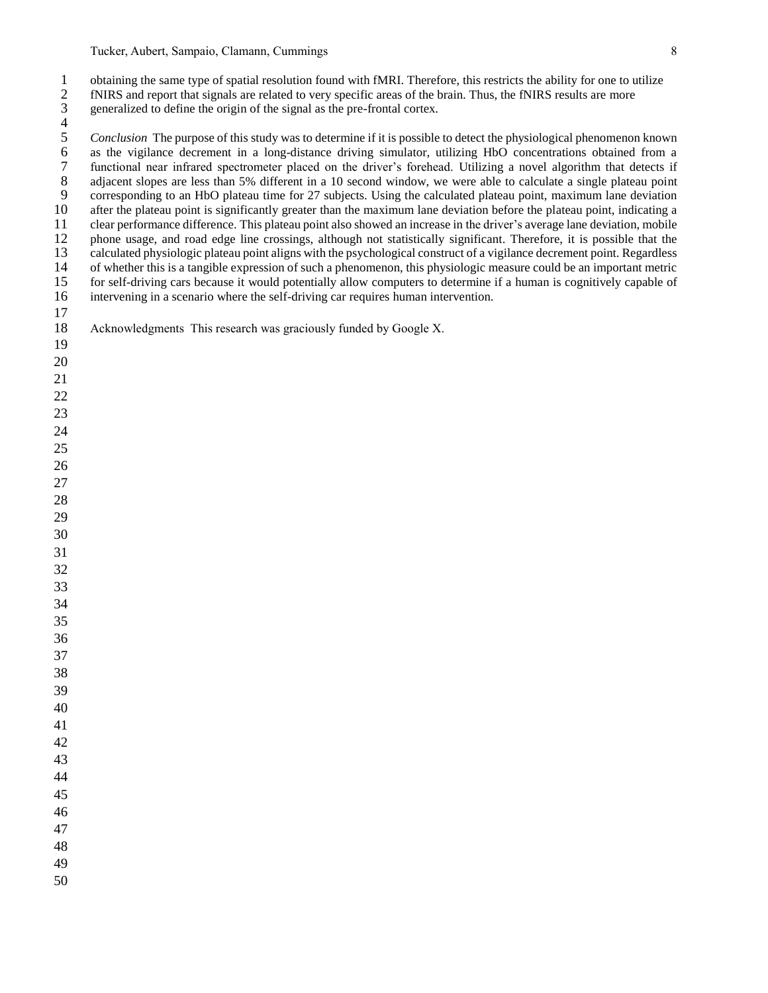1 obtaining the same type of spatial resolution found with fMRI. Therefore, this restricts the ability for one to utilize<br>12 fNIRS and report that signals are related to very specific areas of the brain. Thus, the fNIRS re fNIRS and report that signals are related to very specific areas of the brain. Thus, the fNIRS results are more

generalized to define the origin of the signal as the pre-frontal cortex.

 $\frac{4}{5}$ 5 *Conclusion* The purpose of this study was to determine if it is possible to detect the physiological phenomenon known<br>6 as the vigilance decrement in a long-distance driving simulator, utilizing HbO concentrations obtai as the vigilance decrement in a long-distance driving simulator, utilizing HbO concentrations obtained from a 7 functional near infrared spectrometer placed on the driver's forehead. Utilizing a novel algorithm that detects if adjacent slopes are less than 5% different in a 10 second window, we were able to calculate a single plat 8 adjacent slopes are less than 5% different in a 10 second window, we were able to calculate a single plateau point<br>9 corresponding to an HbO plateau time for 27 subjects. Using the calculated plateau point, maximum lane 9 corresponding to an HbO plateau time for 27 subjects. Using the calculated plateau point, maximum lane deviation after the plateau point is significantly greater than the maximum lane deviation before the plateau point, after the plateau point is significantly greater than the maximum lane deviation before the plateau point, indicating a clear performance difference. This plateau point also showed an increase in the driver's average lane deviation, mobile phone usage, and road edge line crossings, although not statistically significant. Therefore, it is possible that the calculated physiologic plateau point aligns with the psychological construct of a vigilance decrement point. Regardless 14 of whether this is a tangible expression of such a phenomenon, this physiologic measure could be an important metric<br>15 for self-driving cars because it would potentially allow computers to determine if a human is cogni for self-driving cars because it would potentially allow computers to determine if a human is cognitively capable of intervening in a scenario where the self-driving car requires human intervention. 

 

Acknowledgments This research was graciously funded by Google X.

- 
-